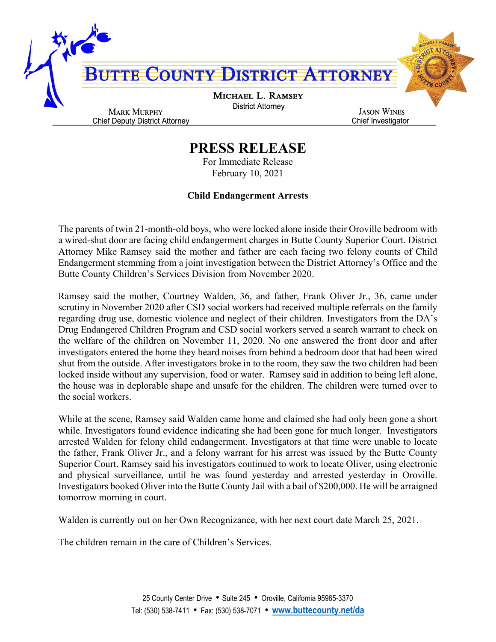

## **PRESS RELEASE**

For Immediate Release February 10, 2021

## **Child Endangerment Arrests**

The parents of twin 21-month-old boys, who were locked alone inside their Oroville bedroom with a wired-shut door are facing child endangerment charges in Butte County Superior Court. District Attorney Mike Ramsey said the mother and father are each facing two felony counts of Child Endangerment stemming from a joint investigation between the District Attorney's Office and the Butte County Children's Services Division from November 2020.

Ramsey said the mother, Courtney Walden, 36, and father, Frank Oliver Jr., 36, came under scrutiny in November 2020 after CSD social workers had received multiple referrals on the family regarding drug use, domestic violence and neglect of their children. Investigators from the DA's Drug Endangered Children Program and CSD social workers served a search warrant to check on the welfare of the children on November 11, 2020. No one answered the front door and after investigators entered the home they heard noises from behind a bedroom door that had been wired shut from the outside. After investigators broke in to the room, they saw the two children had been locked inside without any supervision, food or water. Ramsey said in addition to being left alone, the house was in deplorable shape and unsafe for the children. The children were turned over to the social workers.

While at the scene, Ramsey said Walden came home and claimed she had only been gone a short while. Investigators found evidence indicating she had been gone for much longer. Investigators arrested Walden for felony child endangerment. Investigators at that time were unable to locate the father, Frank Oliver Jr., and a felony warrant for his arrest was issued by the Butte County Superior Court. Ramsey said his investigators continued to work to locate Oliver, using electronic and physical surveillance, until he was found yesterday and arrested yesterday in Oroville. Investigators booked Oliver into the Butte County Jail with a bail of \$200,000. He will be arraigned tomorrow morning in court.

Walden is currently out on her Own Recognizance, with her next court date March 25, 2021.

The children remain in the care of Children's Services.